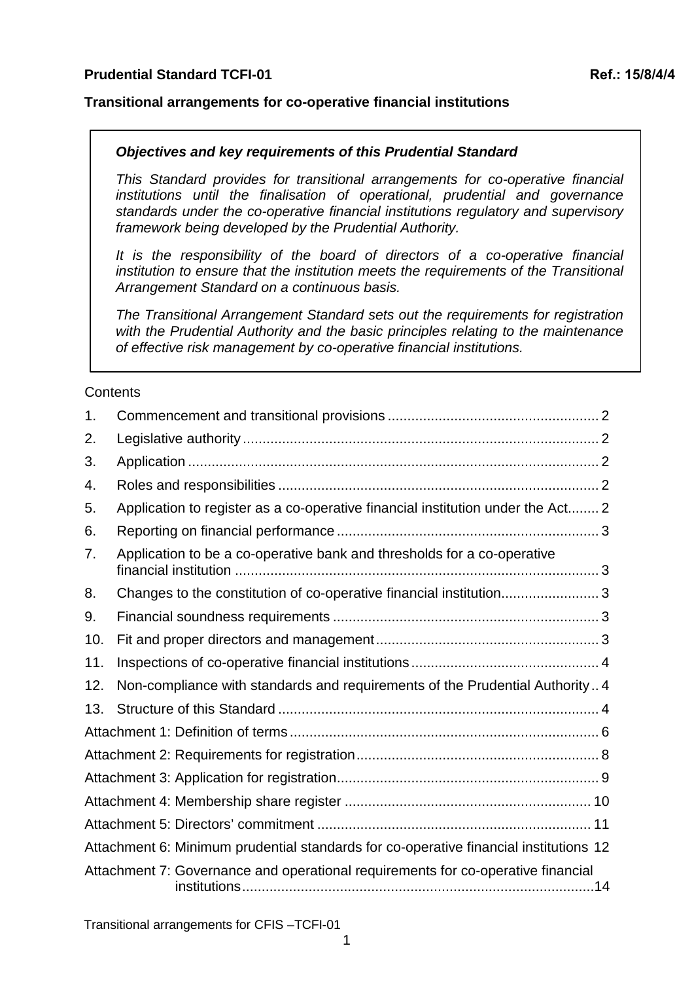#### **Transitional arrangements for co-operative financial institutions**

#### *Objectives and key requirements of this Prudential Standard*

*This Standard provides for transitional arrangements for co-operative financial institutions until the finalisation of operational, prudential and governance standards under the co-operative financial institutions regulatory and supervisory framework being developed by the Prudential Authority.* 

*It is the responsibility of the board of directors of a co-operative financial institution to ensure that the institution meets the requirements of the Transitional Arrangement Standard on a continuous basis.* 

*The Transitional Arrangement Standard sets out the requirements for registration with the Prudential Authority and the basic principles relating to the maintenance of effective risk management by co-operative financial institutions.*

#### **Contents**

| 1.  |                                                                                       |
|-----|---------------------------------------------------------------------------------------|
| 2.  |                                                                                       |
| 3.  |                                                                                       |
| 4.  |                                                                                       |
| 5.  | Application to register as a co-operative financial institution under the Act 2       |
| 6.  |                                                                                       |
| 7.  | Application to be a co-operative bank and thresholds for a co-operative               |
| 8.  | Changes to the constitution of co-operative financial institution3                    |
| 9.  |                                                                                       |
| 10. |                                                                                       |
| 11. |                                                                                       |
| 12. | Non-compliance with standards and requirements of the Prudential Authority 4          |
| 13. |                                                                                       |
|     |                                                                                       |
|     |                                                                                       |
|     |                                                                                       |
|     |                                                                                       |
|     |                                                                                       |
|     | Attachment 6: Minimum prudential standards for co-operative financial institutions 12 |
|     | Attachment 7: Governance and operational requirements for co-operative financial      |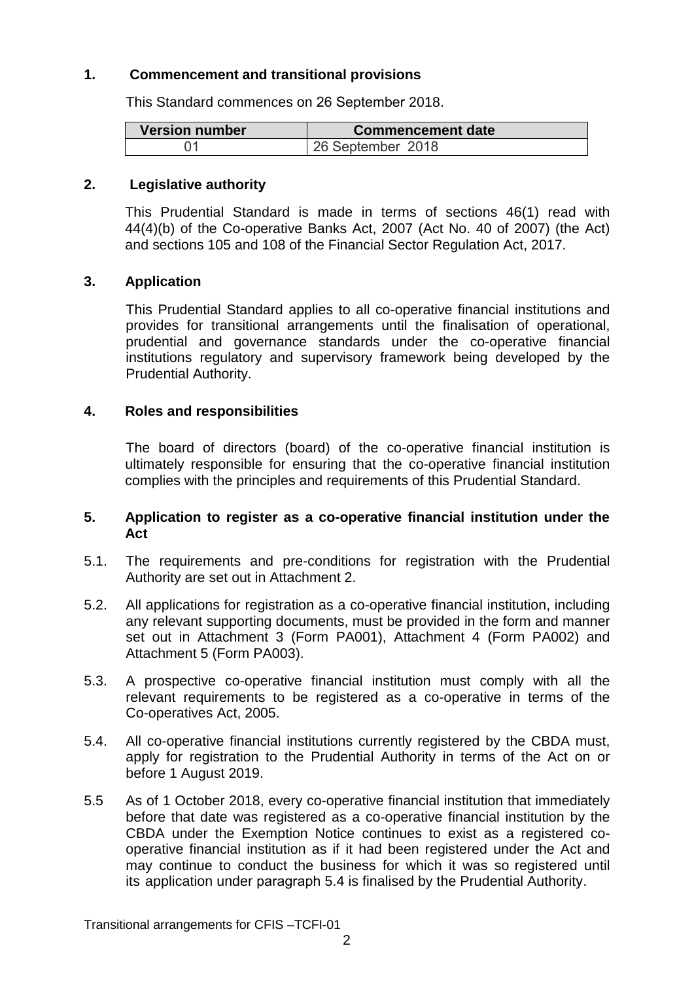#### <span id="page-1-0"></span>**1. Commencement and transitional provisions**

This Standard commences on 26 September 2018.

| <b>Version number</b> | Commencement date |
|-----------------------|-------------------|
| 01                    | 26 September 2018 |

#### <span id="page-1-1"></span>**2. Legislative authority**

This Prudential Standard is made in terms of sections 46(1) read with 44(4)(b) of the Co-operative Banks Act, 2007 (Act No. 40 of 2007) (the Act) and sections 105 and 108 of the Financial Sector Regulation Act, 2017.

#### <span id="page-1-2"></span>**3. Application**

This Prudential Standard applies to all co-operative financial institutions and provides for transitional arrangements until the finalisation of operational, prudential and governance standards under the co-operative financial institutions regulatory and supervisory framework being developed by the Prudential Authority.

#### <span id="page-1-3"></span>**4. Roles and responsibilities**

The board of directors (board) of the co-operative financial institution is ultimately responsible for ensuring that the co-operative financial institution complies with the principles and requirements of this Prudential Standard.

#### <span id="page-1-4"></span>**5. Application to register as a co-operative financial institution under the Act**

- 5.1. The requirements and pre-conditions for registration with the Prudential Authority are set out in Attachment 2.
- 5.2. All applications for registration as a co-operative financial institution, including any relevant supporting documents, must be provided in the form and manner set out in Attachment 3 (Form PA001), Attachment 4 (Form PA002) and Attachment 5 (Form PA003).
- 5.3. A prospective co-operative financial institution must comply with all the relevant requirements to be registered as a co-operative in terms of the Co-operatives Act, 2005.
- 5.4. All co-operative financial institutions currently registered by the CBDA must, apply for registration to the Prudential Authority in terms of the Act on or before 1 August 2019.
- 5.5 As of 1 October 2018, every co-operative financial institution that immediately before that date was registered as a co-operative financial institution by the CBDA under the Exemption Notice continues to exist as a registered cooperative financial institution as if it had been registered under the Act and may continue to conduct the business for which it was so registered until its application under paragraph 5.4 is finalised by the Prudential Authority.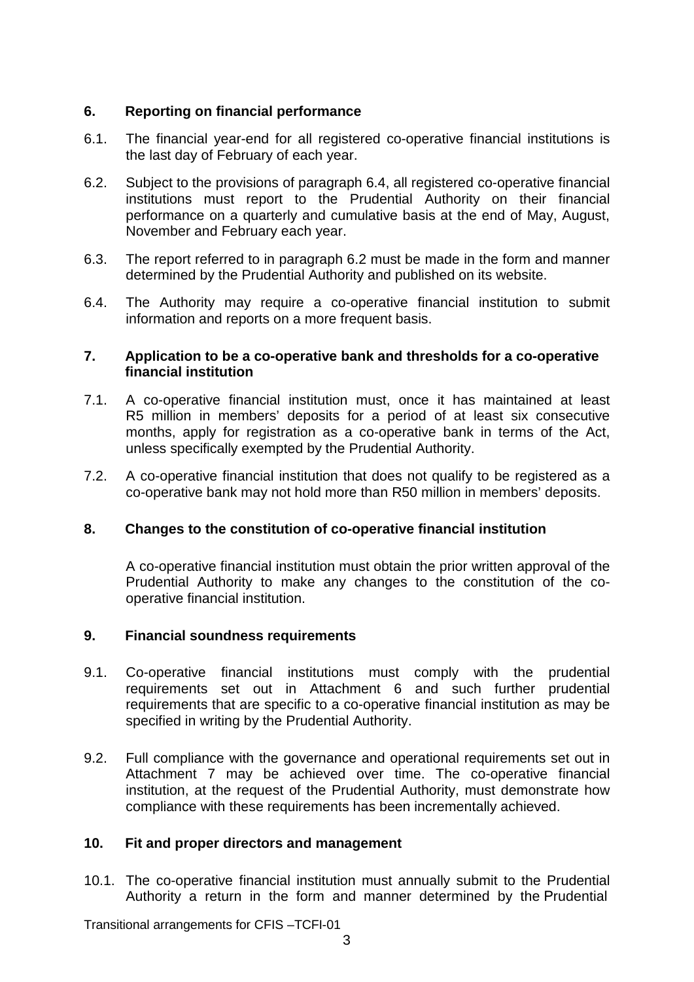#### <span id="page-2-0"></span>**6. Reporting on financial performance**

- 6.1. The financial year-end for all registered co-operative financial institutions is the last day of February of each year.
- 6.2. Subject to the provisions of paragraph 6.4, all registered co-operative financial institutions must report to the Prudential Authority on their financial performance on a quarterly and cumulative basis at the end of May, August, November and February each year.
- 6.3. The report referred to in paragraph 6.2 must be made in the form and manner determined by the Prudential Authority and published on its website.
- 6.4. The Authority may require a co-operative financial institution to submit information and reports on a more frequent basis.

#### <span id="page-2-1"></span>**7. Application to be a co-operative bank and thresholds for a co-operative financial institution**

- 7.1. A co-operative financial institution must, once it has maintained at least R5 million in members' deposits for a period of at least six consecutive months, apply for registration as a co-operative bank in terms of the Act, unless specifically exempted by the Prudential Authority.
- 7.2. A co-operative financial institution that does not qualify to be registered as a co-operative bank may not hold more than R50 million in members' deposits.

#### <span id="page-2-2"></span>**8. Changes to the constitution of co-operative financial institution**

A co-operative financial institution must obtain the prior written approval of the Prudential Authority to make any changes to the constitution of the cooperative financial institution.

#### <span id="page-2-3"></span>**9. Financial soundness requirements**

- 9.1. Co-operative financial institutions must comply with the prudential requirements set out in Attachment 6 and such further prudential requirements that are specific to a co-operative financial institution as may be specified in writing by the Prudential Authority.
- 9.2. Full compliance with the governance and operational requirements set out in Attachment 7 may be achieved over time. The co-operative financial institution, at the request of the Prudential Authority, must demonstrate how compliance with these requirements has been incrementally achieved.

#### <span id="page-2-4"></span>**10. Fit and proper directors and management**

10.1. The co-operative financial institution must annually submit to the Prudential Authority a return in the form and manner determined by the Prudential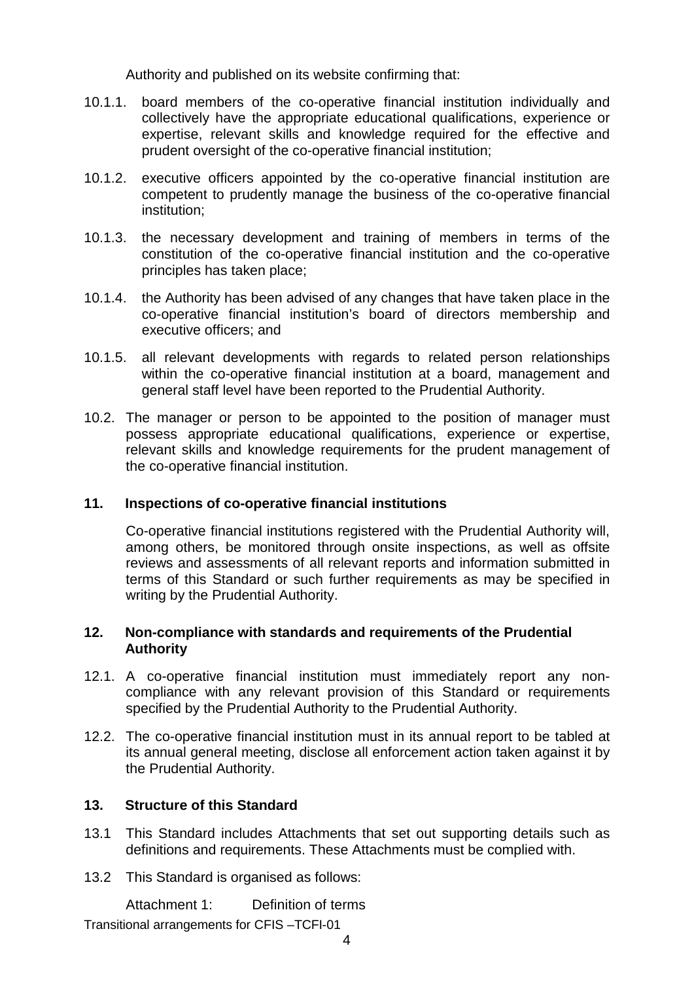Authority and published on its website confirming that:

- 10.1.1. board members of the co-operative financial institution individually and collectively have the appropriate educational qualifications, experience or expertise, relevant skills and knowledge required for the effective and prudent oversight of the co-operative financial institution;
- 10.1.2. executive officers appointed by the co-operative financial institution are competent to prudently manage the business of the co-operative financial institution;
- 10.1.3. the necessary development and training of members in terms of the constitution of the co-operative financial institution and the co-operative principles has taken place;
- 10.1.4. the Authority has been advised of any changes that have taken place in the co-operative financial institution's board of directors membership and executive officers; and
- 10.1.5. all relevant developments with regards to related person relationships within the co-operative financial institution at a board, management and general staff level have been reported to the Prudential Authority.
- 10.2. The manager or person to be appointed to the position of manager must possess appropriate educational qualifications, experience or expertise, relevant skills and knowledge requirements for the prudent management of the co-operative financial institution.

#### <span id="page-3-0"></span>**11. Inspections of co-operative financial institutions**

Co-operative financial institutions registered with the Prudential Authority will, among others, be monitored through onsite inspections, as well as offsite reviews and assessments of all relevant reports and information submitted in terms of this Standard or such further requirements as may be specified in writing by the Prudential Authority.

#### <span id="page-3-1"></span>**12. Non-compliance with standards and requirements of the Prudential Authority**

- 12.1. A co-operative financial institution must immediately report any noncompliance with any relevant provision of this Standard or requirements specified by the Prudential Authority to the Prudential Authority.
- 12.2. The co-operative financial institution must in its annual report to be tabled at its annual general meeting, disclose all enforcement action taken against it by the Prudential Authority.

#### <span id="page-3-2"></span>**13. Structure of this Standard**

- 13.1 This Standard includes Attachments that set out supporting details such as definitions and requirements. These Attachments must be complied with.
- 13.2 This Standard is organised as follows:

Attachment 1: Definition of terms Transitional arrangements for CFIS –TCFI-01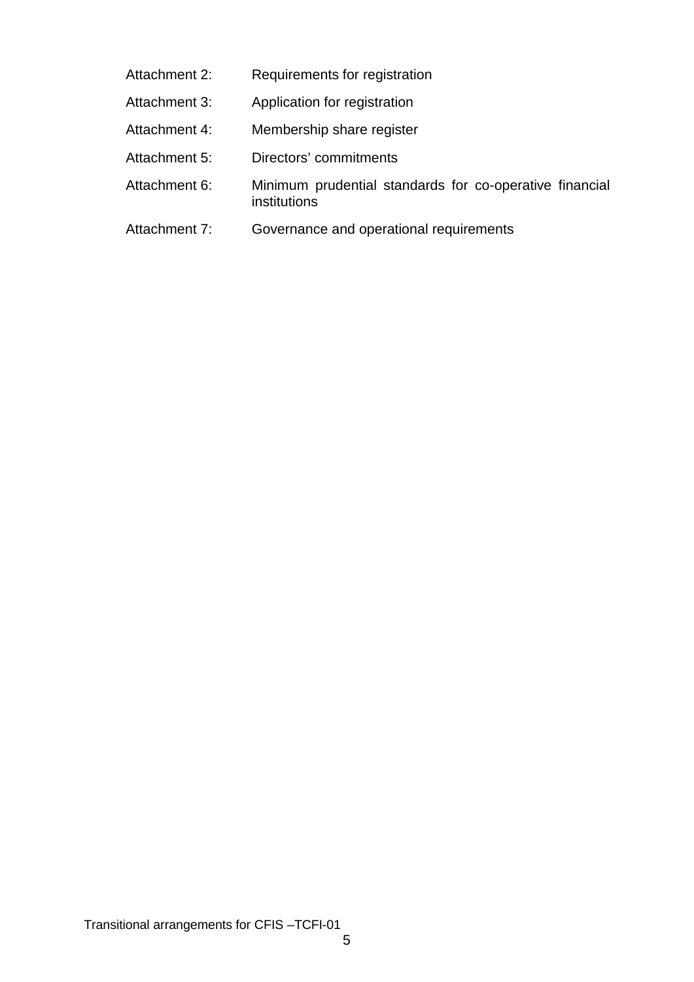- Attachment 2: Requirements for registration
- Attachment 3: Application for registration
- Attachment 4: Membership share register
- Attachment 5: Directors' commitments
- Attachment 6: Minimum prudential standards for co-operative financial institutions
- Attachment 7: Governance and operational requirements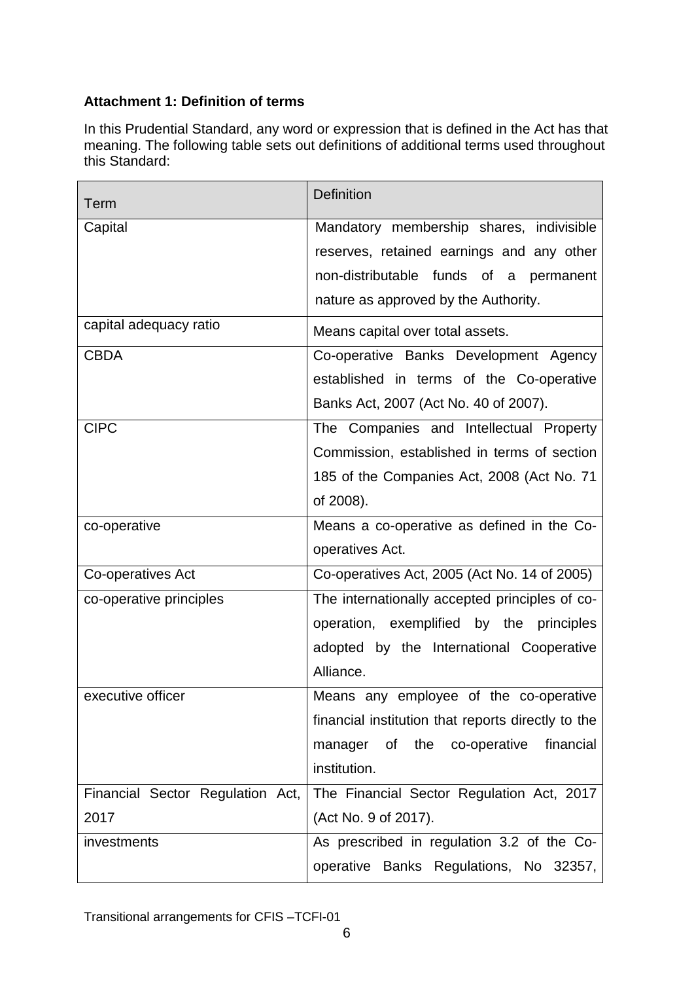# <span id="page-5-0"></span>**Attachment 1: Definition of terms**

In this Prudential Standard, any word or expression that is defined in the Act has that meaning. The following table sets out definitions of additional terms used throughout this Standard:

| Term                             | <b>Definition</b>                                  |
|----------------------------------|----------------------------------------------------|
| Capital                          | Mandatory membership shares, indivisible           |
|                                  | reserves, retained earnings and any other          |
|                                  | non-distributable funds of a permanent             |
|                                  | nature as approved by the Authority.               |
| capital adequacy ratio           | Means capital over total assets.                   |
| <b>CBDA</b>                      | Co-operative Banks Development Agency              |
|                                  | established in terms of the Co-operative           |
|                                  | Banks Act, 2007 (Act No. 40 of 2007).              |
| <b>CIPC</b>                      | The Companies and Intellectual Property            |
|                                  | Commission, established in terms of section        |
|                                  | 185 of the Companies Act, 2008 (Act No. 71         |
|                                  | of 2008).                                          |
| co-operative                     | Means a co-operative as defined in the Co-         |
|                                  | operatives Act.                                    |
| Co-operatives Act                | Co-operatives Act, 2005 (Act No. 14 of 2005)       |
| co-operative principles          | The internationally accepted principles of co-     |
|                                  | operation, exemplified by the principles           |
|                                  | adopted by the International Cooperative           |
|                                  | Alliance.                                          |
| executive officer                | Means any employee of the co-operative             |
|                                  | financial institution that reports directly to the |
|                                  | manager of the co-operative<br>financial           |
|                                  | institution.                                       |
| Financial Sector Regulation Act, | The Financial Sector Regulation Act, 2017          |
| 2017                             | (Act No. 9 of 2017).                               |
| investments                      | As prescribed in regulation 3.2 of the Co-         |
|                                  | operative Banks Regulations, No 32357,             |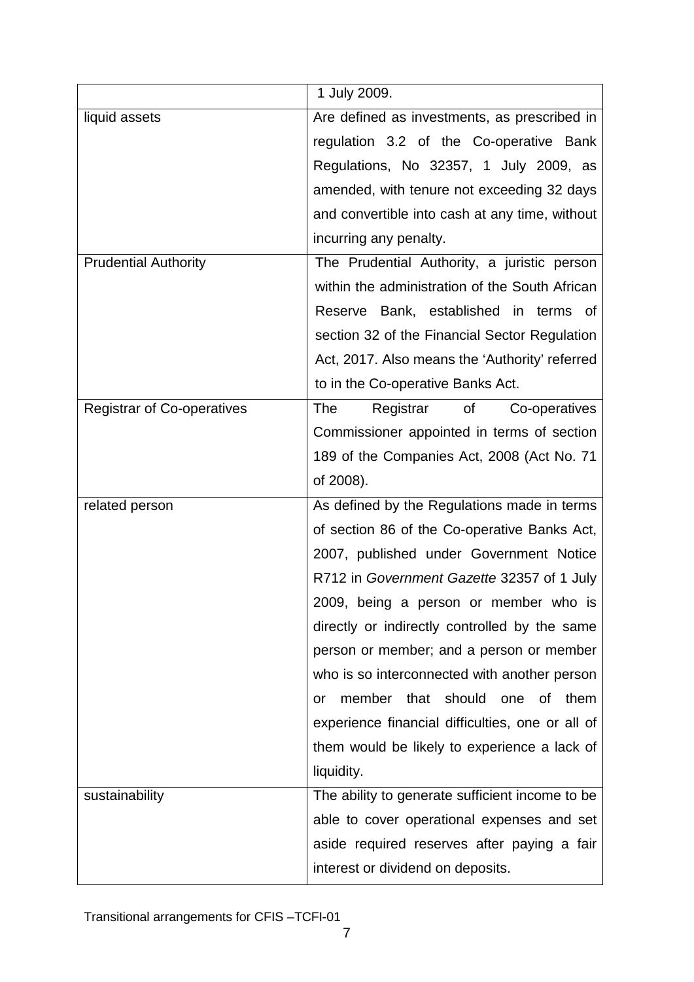|                                   | 1 July 2009.                                     |  |  |
|-----------------------------------|--------------------------------------------------|--|--|
| liquid assets                     | Are defined as investments, as prescribed in     |  |  |
|                                   | regulation 3.2 of the Co-operative Bank          |  |  |
|                                   | Regulations, No 32357, 1 July 2009, as           |  |  |
|                                   | amended, with tenure not exceeding 32 days       |  |  |
|                                   | and convertible into cash at any time, without   |  |  |
|                                   | incurring any penalty.                           |  |  |
| <b>Prudential Authority</b>       | The Prudential Authority, a juristic person      |  |  |
|                                   | within the administration of the South African   |  |  |
|                                   | Reserve Bank, established in terms of            |  |  |
|                                   | section 32 of the Financial Sector Regulation    |  |  |
|                                   | Act, 2017. Also means the 'Authority' referred   |  |  |
|                                   | to in the Co-operative Banks Act.                |  |  |
| <b>Registrar of Co-operatives</b> | of<br>The<br>Registrar<br>Co-operatives          |  |  |
|                                   | Commissioner appointed in terms of section       |  |  |
|                                   | 189 of the Companies Act, 2008 (Act No. 71       |  |  |
|                                   | of 2008).                                        |  |  |
| related person                    | As defined by the Regulations made in terms      |  |  |
|                                   | of section 86 of the Co-operative Banks Act,     |  |  |
|                                   | 2007, published under Government Notice          |  |  |
|                                   | R712 in Government Gazette 32357 of 1 July       |  |  |
|                                   | 2009, being a person or member who is            |  |  |
|                                   | directly or indirectly controlled by the same    |  |  |
|                                   | person or member; and a person or member         |  |  |
|                                   | who is so interconnected with another person     |  |  |
|                                   | that should<br>member<br>one<br>0f<br>them<br>or |  |  |
|                                   | experience financial difficulties, one or all of |  |  |
|                                   | them would be likely to experience a lack of     |  |  |
|                                   | liquidity.                                       |  |  |
| sustainability                    | The ability to generate sufficient income to be  |  |  |
|                                   | able to cover operational expenses and set       |  |  |
|                                   | aside required reserves after paying a fair      |  |  |
|                                   | interest or dividend on deposits.                |  |  |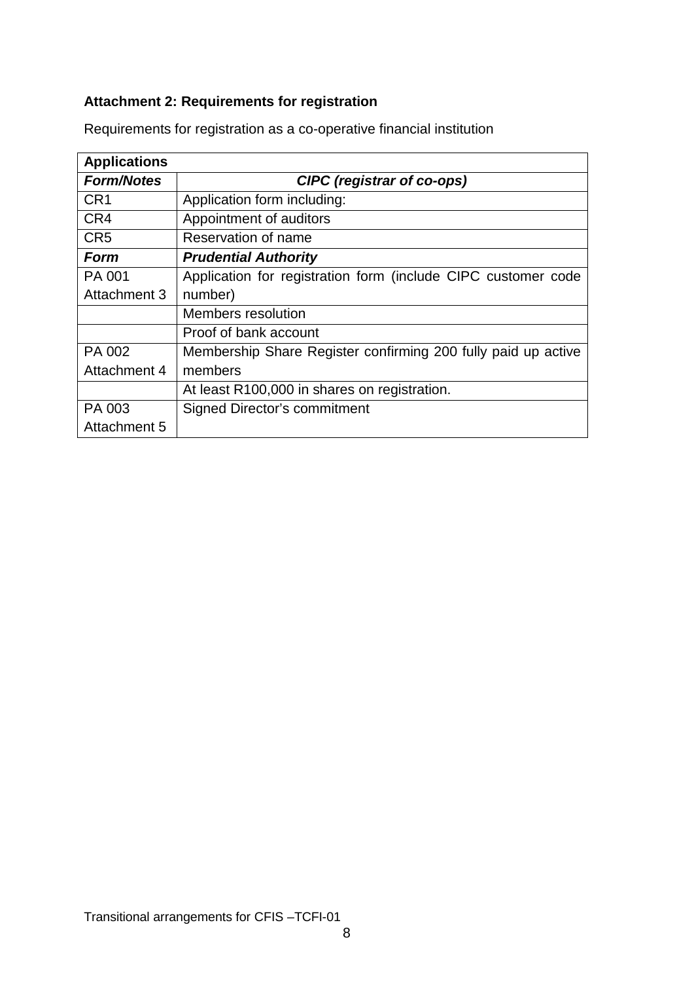# <span id="page-7-0"></span>**Attachment 2: Requirements for registration**

| <b>Applications</b> |                                                               |  |  |  |
|---------------------|---------------------------------------------------------------|--|--|--|
| <b>Form/Notes</b>   | <b>CIPC</b> (registrar of co-ops)                             |  |  |  |
| CR <sub>1</sub>     | Application form including:                                   |  |  |  |
| CR4                 | Appointment of auditors                                       |  |  |  |
| CR <sub>5</sub>     | Reservation of name                                           |  |  |  |
| Form                | <b>Prudential Authority</b>                                   |  |  |  |
| PA 001              | Application for registration form (include CIPC customer code |  |  |  |
| Attachment 3        | number)                                                       |  |  |  |
|                     | <b>Members resolution</b>                                     |  |  |  |
|                     | Proof of bank account                                         |  |  |  |
| PA 002              | Membership Share Register confirming 200 fully paid up active |  |  |  |
| Attachment 4        | members                                                       |  |  |  |
|                     | At least R100,000 in shares on registration.                  |  |  |  |
| PA 003              | Signed Director's commitment                                  |  |  |  |
| Attachment 5        |                                                               |  |  |  |

Requirements for registration as a co-operative financial institution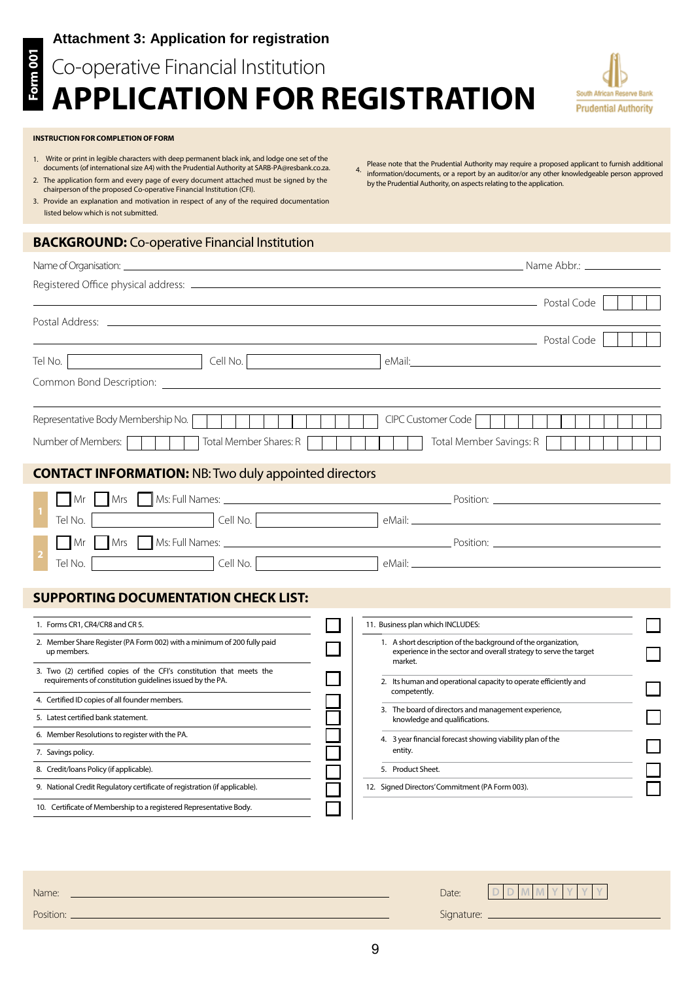### **Attachment 3: Application for registration**

# **Application for Registration**  Co-operative Financial Institution



4. information/documents, or a report by an auditor/or any other knowledgeable person approved

by the Prudential Authority, on aspects relating to the application.

Please note that the Prudential Authority may require a proposed applicant to furnish additional

#### **INSTRUCTION FOR COMPLETION OF FORM**

**Form 001**

Form 001

- 1. Write or print in legible characters with deep permanent black ink, and lodge one set of the documents (of international size A4) with the Prudential Authority at SARB-PA@resbank.co.za. 2. The application form and every page of every document attached must be signed by the
- chairperson of the proposed Co-operative Financial Institution (CFI). 3. Provide an explanation and motivation in respect of any of the required documentation
- listed below which is not submitted.

#### **BACKGROUND:** Co-operative Financial Institution

| Name of Organisation:                                                                                                             |                                                                                                                                               |
|-----------------------------------------------------------------------------------------------------------------------------------|-----------------------------------------------------------------------------------------------------------------------------------------------|
|                                                                                                                                   |                                                                                                                                               |
|                                                                                                                                   | Postal Code                                                                                                                                   |
|                                                                                                                                   | Postal Code                                                                                                                                   |
| Tel No. $ $<br><u> 1990 - Johann Barbara, martxa a</u>                                                                            |                                                                                                                                               |
|                                                                                                                                   |                                                                                                                                               |
| Representative Body Membership No.                                                                                                | CIPC Customer Code                                                                                                                            |
| Total Member Shares: R<br>Number of Members:                                                                                      | Total Member Savings: R                                                                                                                       |
| <b>CONTACT INFORMATION: NB: Two duly appointed directors</b>                                                                      |                                                                                                                                               |
| <b>Mrs</b><br>Mr                                                                                                                  |                                                                                                                                               |
| Tel No.                                                                                                                           |                                                                                                                                               |
| Mr                                                                                                                                |                                                                                                                                               |
| Cell No.<br>Tel No.                                                                                                               |                                                                                                                                               |
| <b>SUPPORTING DOCUMENTATION CHECK LIST:</b>                                                                                       |                                                                                                                                               |
| 1. Forms CR1, CR4/CR8 and CR 5.                                                                                                   | 11. Business plan which INCLUDES:                                                                                                             |
| 2. Member Share Register (PA Form 002) with a minimum of 200 fully paid<br>up members.                                            | 1. A short description of the background of the organization,<br>experience in the sector and overall strategy to serve the target<br>market. |
| 3. Two (2) certified copies of the CFI's constitution that meets the<br>requirements of constitution guidelines issued by the PA. | 2. Its human and operational capacity to operate efficiently and<br>competently.                                                              |
| 4. Certified ID copies of all founder members.                                                                                    | 3. The board of directors and management experience,                                                                                          |
| 5. Latest certified bank statement.                                                                                               | knowledge and qualifications.                                                                                                                 |
| 6. Member Resolutions to register with the PA.<br>7. Savings policy.                                                              | 4. 3 year financial forecast showing viability plan of the<br>entity.                                                                         |

8. Credit/loans Policy (if applicable).

Name: Position:

9. National Credit Regulatory certificate of registration (if applicable).

10. Certificate of Membership to a registered Representative Body.

9

5. Product Sheet.

12. Signed Directors'Commitment (PA Form 003).

Date:

Signature:

**D D M M Y Y Y Y**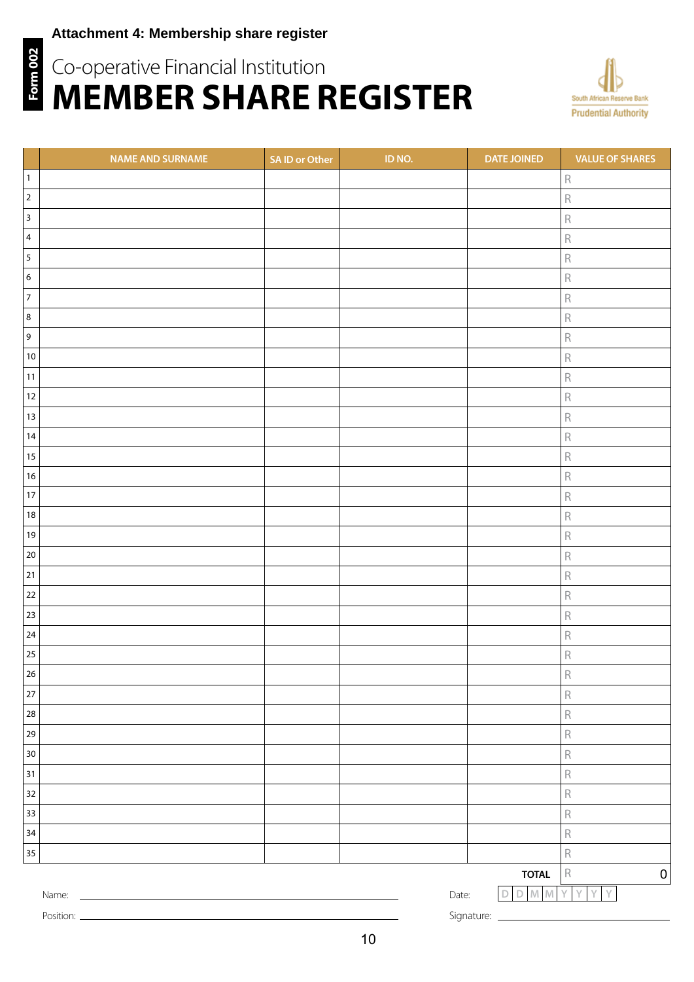## **Attachment 4: Membership share register**

# **Form 002 Form 002** Co-operative Financial Institution **member share register**



|                         | <b>NAME AND SURNAME</b>                                          | SA ID or Other | ID NO. | <b>DATE JOINED</b>     | <b>VALUE OF SHARES</b>                 |
|-------------------------|------------------------------------------------------------------|----------------|--------|------------------------|----------------------------------------|
| $\mathbf{1}$            |                                                                  |                |        |                        | $\mathsf R$                            |
| $\overline{2}$          |                                                                  |                |        |                        | $\mathsf R$                            |
| $\mathbf{3}$            |                                                                  |                |        |                        | $\mathsf R$                            |
| $\overline{\mathbf{4}}$ |                                                                  |                |        |                        | $\mathsf R$                            |
| 5                       |                                                                  |                |        |                        | $\mathsf R$                            |
| 6                       |                                                                  |                |        |                        | $\mathsf R$                            |
| $\overline{7}$          |                                                                  |                |        |                        | $\mathsf R$                            |
| 8                       |                                                                  |                |        |                        | $\mathsf R$                            |
| 9                       |                                                                  |                |        |                        | $\mathsf R$                            |
| $10\,$                  |                                                                  |                |        |                        | $\mathsf R$                            |
| $11$                    |                                                                  |                |        |                        | $\mathsf R$                            |
| $12\,$                  |                                                                  |                |        |                        | $\mathsf R$                            |
| $13\,$                  |                                                                  |                |        |                        | $\mathsf R$                            |
| 14                      |                                                                  |                |        |                        | $\mathsf R$                            |
| $15\,$                  |                                                                  |                |        |                        | $\mathsf R$                            |
| $16\,$                  |                                                                  |                |        |                        | $\mathsf R$                            |
| $17\,$                  |                                                                  |                |        |                        | $\mathsf R$                            |
| $18\,$                  |                                                                  |                |        |                        | $\mathsf R$                            |
| $19$                    |                                                                  |                |        |                        | $\mathsf R$                            |
| $20\,$                  |                                                                  |                |        |                        | $\mathsf R$                            |
| 21                      |                                                                  |                |        |                        | $\mathsf R$                            |
| $22\,$                  |                                                                  |                |        |                        | $\mathsf R$                            |
| 23                      |                                                                  |                |        |                        | $\mathsf R$                            |
| 24                      |                                                                  |                |        |                        | $\mathsf R$                            |
| 25                      |                                                                  |                |        |                        | $\mathsf R$                            |
| 26                      |                                                                  |                |        |                        | $\mathsf R$                            |
| $27\,$                  |                                                                  |                |        |                        | $\mathsf R$                            |
| ${\bf 28}$              |                                                                  |                |        |                        | $\mathsf R$                            |
| 29                      |                                                                  |                |        |                        | $\mathsf R$                            |
| $30\,$                  |                                                                  |                |        |                        | $\mathsf R$                            |
| 31                      |                                                                  |                |        |                        | $\mathsf R$                            |
| $32\,$                  |                                                                  |                |        |                        | $\mathsf R$                            |
| 33                      |                                                                  |                |        |                        | $\mathsf R$                            |
| $34\,$                  |                                                                  |                |        |                        | $\mathsf R$                            |
| $35\,$                  |                                                                  |                |        |                        | $\mathsf R$                            |
|                         |                                                                  |                |        | <b>TOTAL</b>           | $\mathsf R$<br>$\boldsymbol{0}$        |
|                         | Name:<br><u> 1989 - Johann Barn, mars ann an t-Amhair an t-A</u> |                | Date:  | $D$ M M<br>$\mathsf D$ | $\mathbb {Y}$<br>Y<br>Y<br>$\mathsf Y$ |

Position: \_

Signature: \_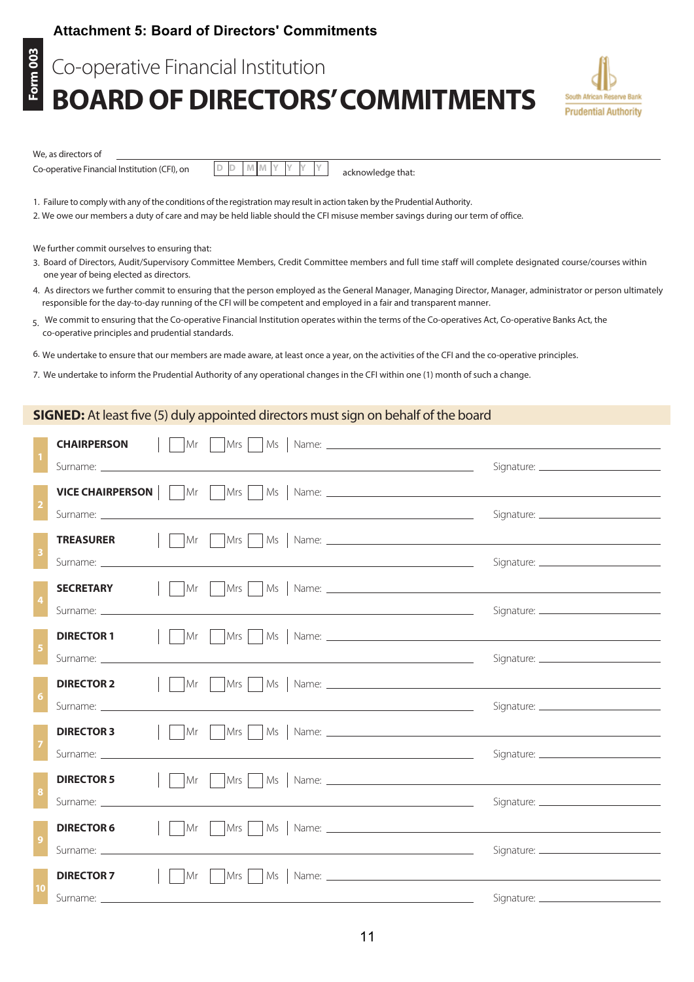#### **Attachment 5: Board of Directors' Commitments**

**Form 003 Form 003**

# **BOARD OF DIRECTORS' COMMITMENTS** Co-operative Financial Institution



We, as directors of

Co-operative Financial Institution (CFI), on

**D D M M Y Y Y Y**

acknowledge that:

Failure to comply with any of the conditions of the registration may result in action taken by the Prudential Authority.

2. We owe our members a duty of care and may be held liable should the CFI misuse member savings during our term of office.

We further commit ourselves to ensuring that:

- 3. Board of Directors, Audit/Supervisory Committee Members, Credit Committee members and full time staff will complete designated course/courses within one year of being elected as directors.
- 4. As directors we further commit to ensuring that the person employed as the General Manager, Managing Director, Manager, administrator or person ultimately responsible for the day-to-day running of the CFI will be competent and employed in a fair and transparent manner.
- 5. We commit to ensuring that the Co-operative Financial Institution operates within the terms of the Co-operatives Act, Co-operative Banks Act, the co-operative principles and prudential standards.

6. We undertake to ensure that our members are made aware, at least once a year, on the activities of the CFI and the co-operative principles.

7. We undertake to inform the Prudential Authority of any operational changes in the CFI within one (1) month of such a change.

#### **SIGNED:** At least five (5) duly appointed directors must sign on behalf of the board

| Surname: Executive Contract Contract Contract Contract Contract Contract Contract Contract Contract Contract Contract Contract Contract Contract Contract Contract Contract Contract Contract Contract Contract Contract Contr |  |
|--------------------------------------------------------------------------------------------------------------------------------------------------------------------------------------------------------------------------------|--|
| <b>VICE CHAIRPERSON</b> $\vert \vert$ $\vert$ Mr $\vert$ $\vert$ Mrs $\vert$ $\vert$ Ms $\vert$ Name:                                                                                                                          |  |
|                                                                                                                                                                                                                                |  |
|                                                                                                                                                                                                                                |  |
|                                                                                                                                                                                                                                |  |
|                                                                                                                                                                                                                                |  |
|                                                                                                                                                                                                                                |  |
|                                                                                                                                                                                                                                |  |
| <b>DIRECTOR 1</b>                                                                                                                                                                                                              |  |
|                                                                                                                                                                                                                                |  |
| <b>DIRECTOR 2</b>                                                                                                                                                                                                              |  |
|                                                                                                                                                                                                                                |  |
|                                                                                                                                                                                                                                |  |
| <u> 1989 - Johann Stein, marwolaethau a bhann an t-Amhainn an t-Amhainn an t-Amhainn an t-Amhainn an t-Amhainn a</u>                                                                                                           |  |
|                                                                                                                                                                                                                                |  |
|                                                                                                                                                                                                                                |  |
| <b>DIRECTOR 6</b>                                                                                                                                                                                                              |  |
|                                                                                                                                                                                                                                |  |
|                                                                                                                                                                                                                                |  |
| <b>DIRECTOR 7</b>                                                                                                                                                                                                              |  |
| Surname: Executive Contract Contract Contract Contract Contract Contract Contract Contract Contract Contract Contract Contract Contract Contract Contract Contract Contract Contract Contract Contract Contract Contract Contr |  |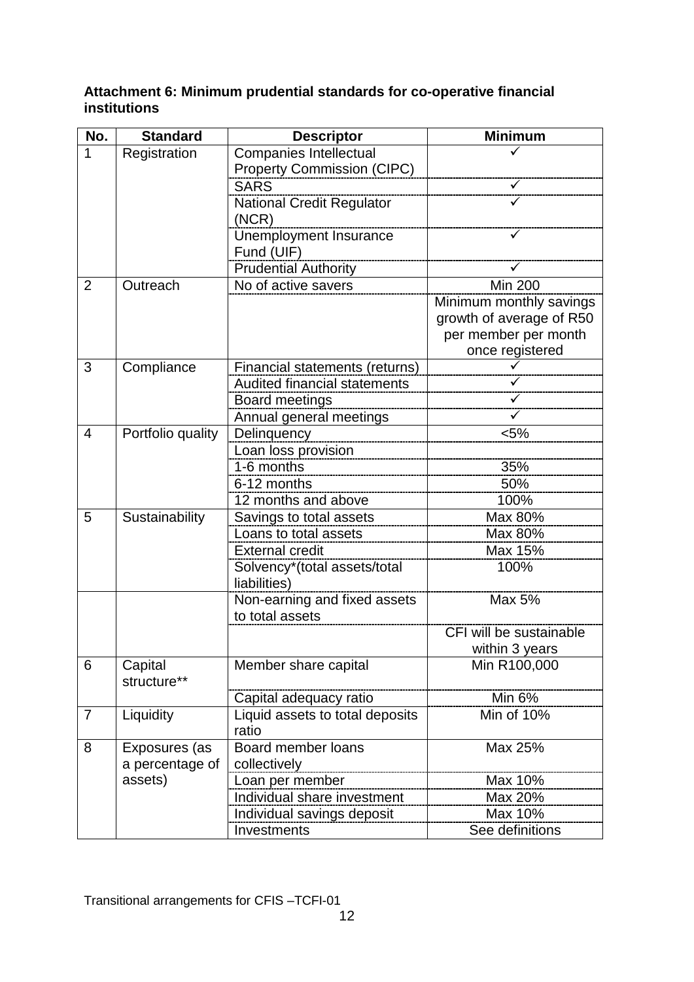## <span id="page-11-0"></span>**Attachment 6: Minimum prudential standards for co-operative financial institutions**

| No.            | <b>Standard</b>   | <b>Descriptor</b>                        | <b>Minimum</b>           |
|----------------|-------------------|------------------------------------------|--------------------------|
| 1              | Registration      | <b>Companies Intellectual</b>            |                          |
|                |                   | <b>Property Commission (CIPC)</b>        |                          |
|                |                   | <b>SARS</b>                              |                          |
|                |                   | <b>National Credit Regulator</b>         | ✓                        |
|                |                   | (NCR)                                    |                          |
|                |                   | Unemployment Insurance                   |                          |
|                |                   | Fund (UIF)                               |                          |
|                |                   | <b>Prudential Authority</b>              |                          |
| $\overline{2}$ | Outreach          | No of active savers                      | <b>Min 200</b>           |
|                |                   |                                          | Minimum monthly savings  |
|                |                   |                                          | growth of average of R50 |
|                |                   |                                          | per member per month     |
|                |                   |                                          | once registered          |
| 3              | Compliance        | Financial statements (returns)           |                          |
|                |                   | <b>Audited financial statements</b>      |                          |
|                |                   | Board meetings                           |                          |
|                |                   | Annual general meetings                  |                          |
| 4              | Portfolio quality | Delinquency                              | $< 5\%$                  |
|                |                   | Loan loss provision                      |                          |
|                |                   | 1-6 months                               | 35%                      |
|                |                   | 6-12 months                              | 50%                      |
|                |                   | 12 months and above                      | 100%                     |
| 5              | Sustainability    | Savings to total assets                  | Max 80%                  |
|                |                   | Loans to total assets                    | Max 80%                  |
|                |                   | <b>External credit</b>                   | Max 15%                  |
|                |                   | Solvency*(total assets/total             | 100%                     |
|                |                   | liabilities)                             |                          |
|                |                   | Non-earning and fixed assets             | Max 5%                   |
|                |                   | to total assets                          |                          |
|                |                   |                                          | CFI will be sustainable  |
|                |                   |                                          | within 3 years           |
| 6              | Capital           | Member share capital                     | Min R100,000             |
|                | structure**       |                                          |                          |
|                |                   | Capital adequacy ratio                   | Min 6%                   |
| $\overline{7}$ | Liquidity         | Liquid assets to total deposits<br>ratio | Min of 10%               |
| 8              | Exposures (as     | Board member loans                       | Max 25%                  |
|                | a percentage of   | collectively                             |                          |
|                | assets)           | Loan per member                          | Max 10%                  |
|                |                   | Individual share investment              | Max 20%                  |
|                |                   | Individual savings deposit               | Max 10%                  |
|                |                   | Investments                              | See definitions          |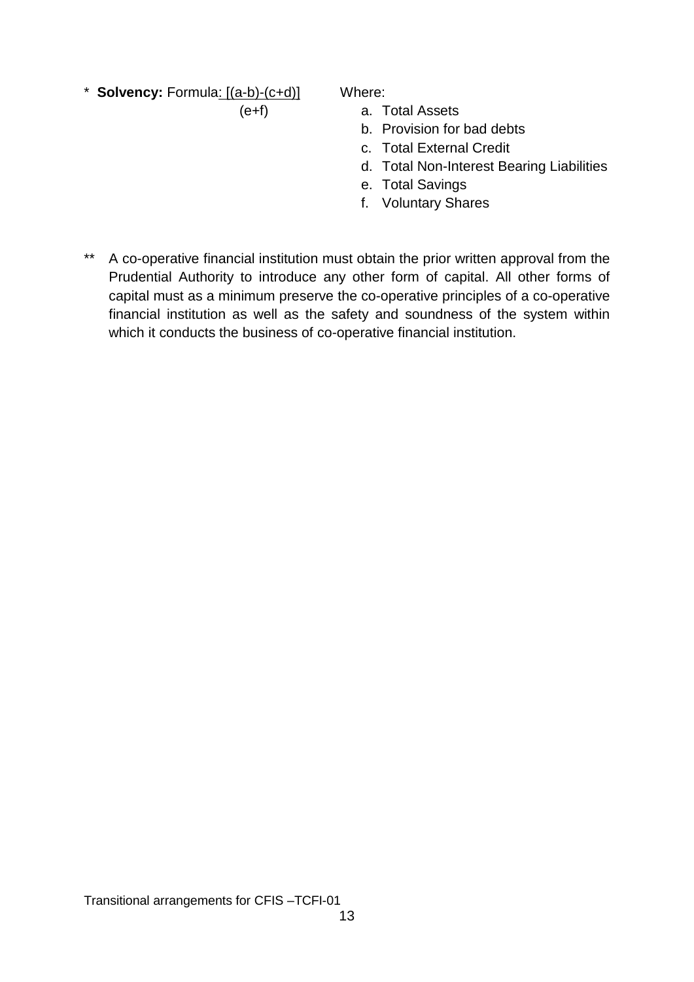\* **Solvency:** Formula: [(a-b)-(c+d)]  $(e+f)$ 

Where:

- a. Total Assets
- b. Provision for bad debts
- c. Total External Credit
- d. Total Non-Interest Bearing Liabilities
- e. Total Savings
- f. Voluntary Shares
- \*\* A co-operative financial institution must obtain the prior written approval from the Prudential Authority to introduce any other form of capital. All other forms of capital must as a minimum preserve the co-operative principles of a co-operative financial institution as well as the safety and soundness of the system within which it conducts the business of co-operative financial institution.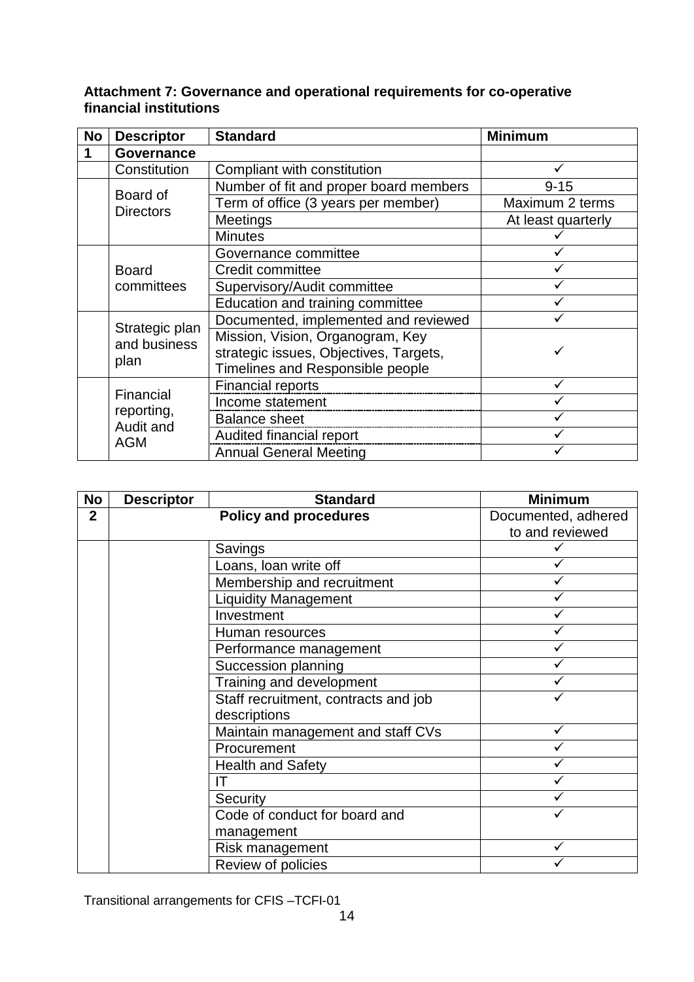### <span id="page-13-0"></span>**Attachment 7: Governance and operational requirements for co-operative financial institutions**

| <b>No</b> | <b>Descriptor</b>                                  | <b>Standard</b>                        | <b>Minimum</b>     |
|-----------|----------------------------------------------------|----------------------------------------|--------------------|
| 1         | <b>Governance</b>                                  |                                        |                    |
|           | Constitution                                       | Compliant with constitution            |                    |
|           | Board of                                           | Number of fit and proper board members | $9 - 15$           |
|           | <b>Directors</b>                                   | Term of office (3 years per member)    | Maximum 2 terms    |
|           |                                                    | Meetings                               | At least quarterly |
|           |                                                    | <b>Minutes</b>                         |                    |
|           |                                                    | Governance committee                   |                    |
|           | <b>Board</b>                                       | Credit committee                       |                    |
|           | committees                                         | Supervisory/Audit committee            |                    |
|           |                                                    | Education and training committee       |                    |
|           | Strategic plan<br>and business<br>plan             | Documented, implemented and reviewed   |                    |
|           |                                                    | Mission, Vision, Organogram, Key       |                    |
|           |                                                    | strategic issues, Objectives, Targets, |                    |
|           |                                                    | Timelines and Responsible people       |                    |
|           |                                                    | <b>Financial reports</b>               | ✓                  |
|           | Financial<br>reporting,<br>Audit and<br><b>AGM</b> | Income statement                       |                    |
|           |                                                    | <b>Balance sheet</b>                   |                    |
|           |                                                    | Audited financial report               |                    |
|           |                                                    | <b>Annual General Meeting</b>          |                    |

| <b>No</b>      | <b>Descriptor</b> | <b>Standard</b>                      | <b>Minimum</b>      |
|----------------|-------------------|--------------------------------------|---------------------|
| $\overline{2}$ |                   | <b>Policy and procedures</b>         | Documented, adhered |
|                |                   |                                      | to and reviewed     |
|                |                   | Savings                              |                     |
|                |                   | Loans, loan write off                |                     |
|                |                   | Membership and recruitment           |                     |
|                |                   | <b>Liquidity Management</b>          |                     |
|                |                   | Investment                           |                     |
|                |                   | Human resources                      |                     |
|                |                   | Performance management               |                     |
|                |                   | Succession planning                  |                     |
|                |                   | Training and development             |                     |
|                |                   | Staff recruitment, contracts and job |                     |
|                |                   | descriptions                         |                     |
|                |                   | Maintain management and staff CVs    |                     |
|                |                   | Procurement                          |                     |
|                |                   | <b>Health and Safety</b>             |                     |
|                |                   | IΤ                                   |                     |
|                |                   | Security                             |                     |
|                |                   | Code of conduct for board and        |                     |
|                |                   | management                           |                     |
|                |                   | Risk management                      | ✓                   |
|                |                   | Review of policies                   |                     |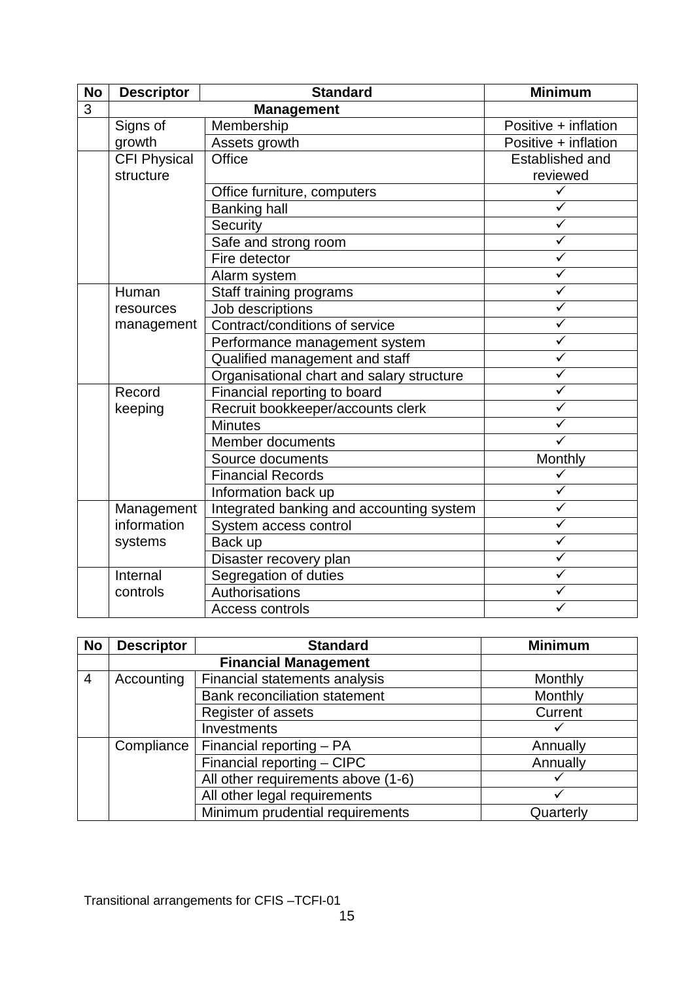| <b>No</b>      | <b>Descriptor</b>   | <b>Standard</b>                           | <b>Minimum</b>          |
|----------------|---------------------|-------------------------------------------|-------------------------|
| $\overline{3}$ |                     |                                           |                         |
|                | Signs of            | Membership                                | Positive + inflation    |
|                | growth              | Assets growth                             | Positive + inflation    |
|                | <b>CFI Physical</b> | Office                                    | Established and         |
|                | structure           |                                           | reviewed                |
|                |                     | Office furniture, computers               | $\checkmark$            |
|                |                     | <b>Banking hall</b>                       | ✓                       |
|                |                     | Security                                  | $\checkmark$            |
|                |                     | Safe and strong room                      | $\checkmark$            |
|                |                     | Fire detector                             | $\checkmark$            |
|                |                     | Alarm system                              | $\overline{\checkmark}$ |
|                | Human               | Staff training programs                   | $\checkmark$            |
|                | resources           | Job descriptions                          | $\checkmark$            |
|                | management          | Contract/conditions of service            | $\checkmark$            |
|                |                     | Performance management system             | $\checkmark$            |
|                |                     | Qualified management and staff            | $\checkmark$            |
|                |                     | Organisational chart and salary structure | $\checkmark$            |
|                | Record              | Financial reporting to board              | $\checkmark$            |
|                | keeping             | Recruit bookkeeper/accounts clerk         | $\checkmark$            |
|                |                     | <b>Minutes</b>                            | $\checkmark$            |
|                |                     | Member documents                          |                         |
|                |                     | Source documents                          | Monthly                 |
|                |                     | <b>Financial Records</b>                  | ✓                       |
|                |                     | Information back up                       | ✓                       |
|                | Management          | Integrated banking and accounting system  | $\checkmark$            |
|                | information         | System access control                     | $\overline{\checkmark}$ |
|                | systems             | Back up                                   | $\checkmark$            |
|                |                     | Disaster recovery plan                    | $\checkmark$            |
|                | Internal            | Segregation of duties                     | $\checkmark$            |
|                | controls            | Authorisations                            | ✓                       |
|                |                     | <b>Access controls</b>                    |                         |

| <b>No</b>      | <b>Descriptor</b> | <b>Standard</b>                      | <b>Minimum</b> |
|----------------|-------------------|--------------------------------------|----------------|
|                |                   |                                      |                |
| $\overline{4}$ | Accounting        | Financial statements analysis        | Monthly        |
|                |                   | <b>Bank reconciliation statement</b> | Monthly        |
|                |                   | Register of assets                   | Current        |
|                |                   | Investments                          |                |
|                | Compliance        | Financial reporting - PA             | Annually       |
|                |                   | Financial reporting - CIPC           | Annually       |
|                |                   | All other requirements above (1-6)   |                |
|                |                   | All other legal requirements         |                |
|                |                   | Minimum prudential requirements      | Quarterly      |